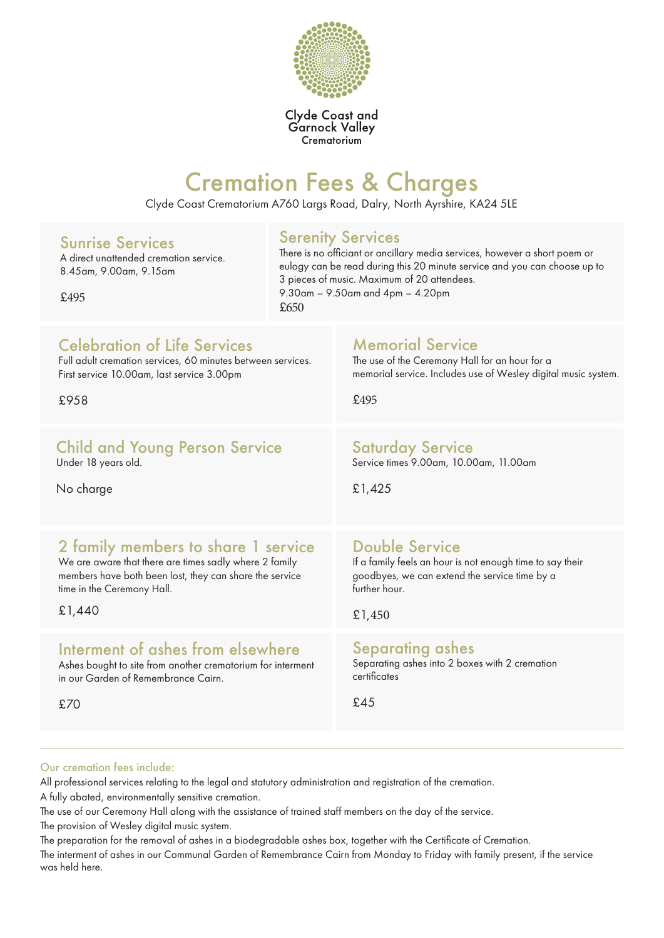

Clyde Coast and<br>Garnock Valley Crematorium

# Cremation Fees & Charges

Clyde Coast Crematorium A760 Largs Road, Dalry, North Ayrshire, KA24 5LE

| <b>Sunrise Services</b><br>A direct unattended cremation service.<br>8.45am, 9.00am, 9.15am<br>£495 | <b>Serenity Services</b><br>There is no officiant or ancillary media services, however a short poem or<br>eulogy can be read during this 20 minute service and you can choose up to<br>3 pieces of music. Maximum of 20 attendees.<br>9.30am - 9.50am and 4pm - 4.20pm<br>£650 |                                                                |
|-----------------------------------------------------------------------------------------------------|--------------------------------------------------------------------------------------------------------------------------------------------------------------------------------------------------------------------------------------------------------------------------------|----------------------------------------------------------------|
| <b>Celebration of Life Services</b>                                                                 |                                                                                                                                                                                                                                                                                | <b>Memorial Service</b>                                        |
| Full adult cremation services, 60 minutes between services.                                         |                                                                                                                                                                                                                                                                                | The use of the Ceremony Hall for an hour for a                 |
| First service 10.00am, last service 3.00pm                                                          |                                                                                                                                                                                                                                                                                | memorial service. Includes use of Wesley digital music system. |
| £958                                                                                                |                                                                                                                                                                                                                                                                                | £495                                                           |
| <b>Child and Young Person Service</b>                                                               |                                                                                                                                                                                                                                                                                | <b>Saturday Service</b>                                        |
| Under 18 years old.                                                                                 |                                                                                                                                                                                                                                                                                | Service times 9.00am, 10.00am, 11.00am                         |
| No charge                                                                                           |                                                                                                                                                                                                                                                                                | £1,425                                                         |
| 2 family members to share 1 service                                                                 |                                                                                                                                                                                                                                                                                | <b>Double Service</b>                                          |
| We are aware that there are times sadly where 2 family                                              |                                                                                                                                                                                                                                                                                | If a family feels an hour is not enough time to say their      |
| members have both been lost, they can share the service                                             |                                                                                                                                                                                                                                                                                | goodbyes, we can extend the service time by a                  |
| time in the Ceremony Hall.                                                                          |                                                                                                                                                                                                                                                                                | further hour.                                                  |
| £1,440                                                                                              |                                                                                                                                                                                                                                                                                | £1,450                                                         |
| Interment of ashes from elsewhere                                                                   |                                                                                                                                                                                                                                                                                | <b>Separating ashes</b>                                        |
| Ashes bought to site from another crematorium for interment                                         |                                                                                                                                                                                                                                                                                | Separating ashes into 2 boxes with 2 cremation                 |
| in our Garden of Remembrance Cairn.                                                                 |                                                                                                                                                                                                                                                                                | certificates                                                   |
| £70                                                                                                 |                                                                                                                                                                                                                                                                                | £45                                                            |

#### Our cremation fees include:

All professional services relating to the legal and statutory administration and registration of the cremation. A fully abated, environmentally sensitive cremation.

The use of our Ceremony Hall along with the assistance of trained staff members on the day of the service.

The provision of Wesley digital music system.

The preparation for the removal of ashes in a biodegradable ashes box, together with the Certificate of Cremation.

The interment of ashes in our Communal Garden of Remembrance Cairn from Monday to Friday with family present, if the service was held here.